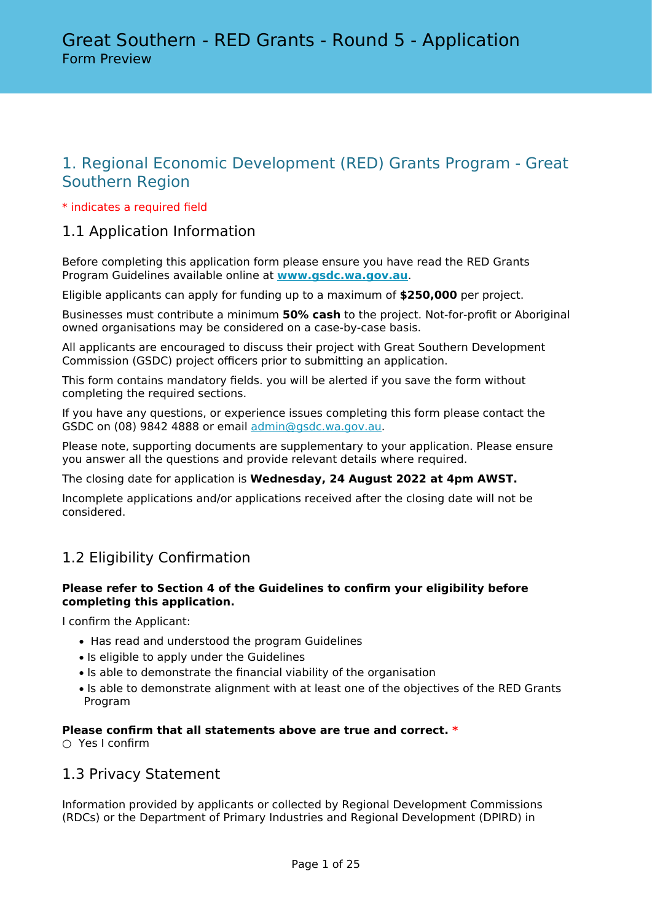# 1. Regional Economic Development (RED) Grants Program - Great Southern Region

#### \* indicates a required field

## 1.1 Application Information

Before completing this application form please ensure you have read the RED Grants Program Guidelines available online at **[www.gsdc.wa.gov.au](https://www.gsdc.wa.gov.au/our-activities/funding/red-grants/)**.

Eligible applicants can apply for funding up to a maximum of **\$250,000** per project.

Businesses must contribute a minimum **50% cash** to the project. Not-for-profit or Aboriginal owned organisations may be considered on a case-by-case basis.

All applicants are encouraged to discuss their project with Great Southern Development Commission (GSDC) project officers prior to submitting an application.

This form contains mandatory fields. you will be alerted if you save the form without completing the required sections.

If you have any questions, or experience issues completing this form please contact the GSDC on (08) 9842 4888 or email [admin@gsdc.wa.gov.au.](mailto:admin@gsdc.wa.gov.au)

Please note, supporting documents are supplementary to your application. Please ensure you answer all the questions and provide relevant details where required.

The closing date for application is **Wednesday, 24 August 2022 at 4pm AWST.**

Incomplete applications and/or applications received after the closing date will not be considered.

# 1.2 Eligibility Confirmation

#### **Please refer to Section 4 of the Guidelines to confirm your eligibility before completing this application.**

I confirm the Applicant:

- Has read and understood the program Guidelines
- Is eligible to apply under the Guidelines
- Is able to demonstrate the financial viability of the organisation
- Is able to demonstrate alignment with at least one of the objectives of the RED Grants Program

#### **Please confirm that all statements above are true and correct. \***

○ Yes I confirm

### 1.3 Privacy Statement

Information provided by applicants or collected by Regional Development Commissions (RDCs) or the Department of Primary Industries and Regional Development (DPIRD) in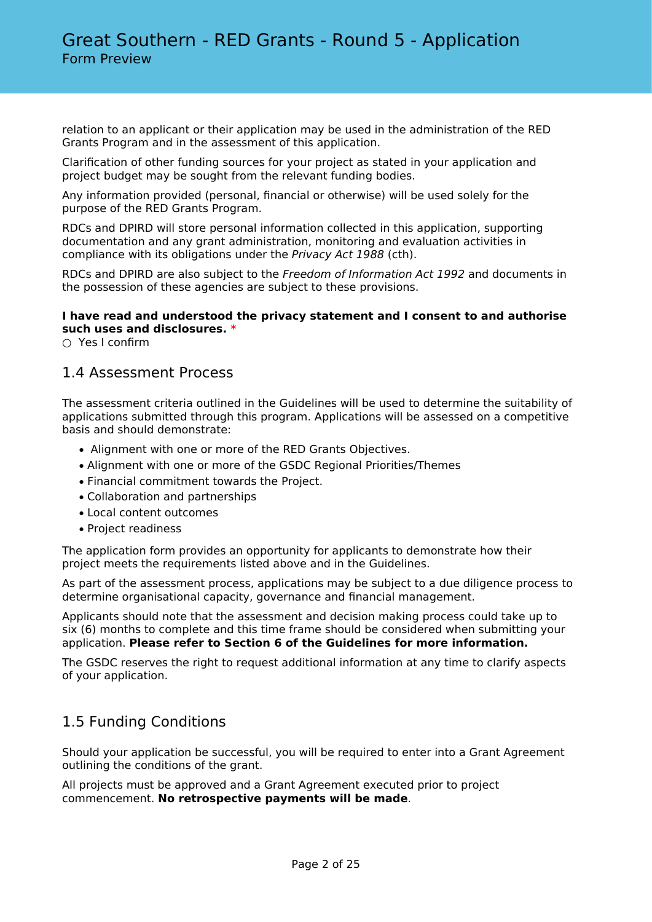relation to an applicant or their application may be used in the administration of the RED Grants Program and in the assessment of this application.

Clarification of other funding sources for your project as stated in your application and project budget may be sought from the relevant funding bodies.

Any information provided (personal, financial or otherwise) will be used solely for the purpose of the RED Grants Program.

RDCs and DPIRD will store personal information collected in this application, supporting documentation and any grant administration, monitoring and evaluation activities in compliance with its obligations under the *Privacy Act 1988* (cth).

RDCs and DPIRD are also subject to the *Freedom of Information Act 1992* and documents in the possession of these agencies are subject to these provisions.

#### **I have read and understood the privacy statement and I consent to and authorise such uses and disclosures. \***

○ Yes I confirm

### 1.4 Assessment Process

The assessment criteria outlined in the Guidelines will be used to determine the suitability of applications submitted through this program. Applications will be assessed on a competitive basis and should demonstrate:

- Alignment with one or more of the RED Grants Objectives.
- Alignment with one or more of the GSDC Regional Priorities/Themes
- Financial commitment towards the Project.
- Collaboration and partnerships
- Local content outcomes
- Project readiness

The application form provides an opportunity for applicants to demonstrate how their project meets the requirements listed above and in the Guidelines.

As part of the assessment process, applications may be subject to a due diligence process to determine organisational capacity, governance and financial management.

Applicants should note that the assessment and decision making process could take up to six (6) months to complete and this time frame should be considered when submitting your application. **Please refer to Section 6 of the Guidelines for more information.**

The GSDC reserves the right to request additional information at any time to clarify aspects of your application.

### 1.5 Funding Conditions

Should your application be successful, you will be required to enter into a Grant Agreement outlining the conditions of the grant.

All projects must be approved and a Grant Agreement executed prior to project commencement. **No retrospective payments will be made**.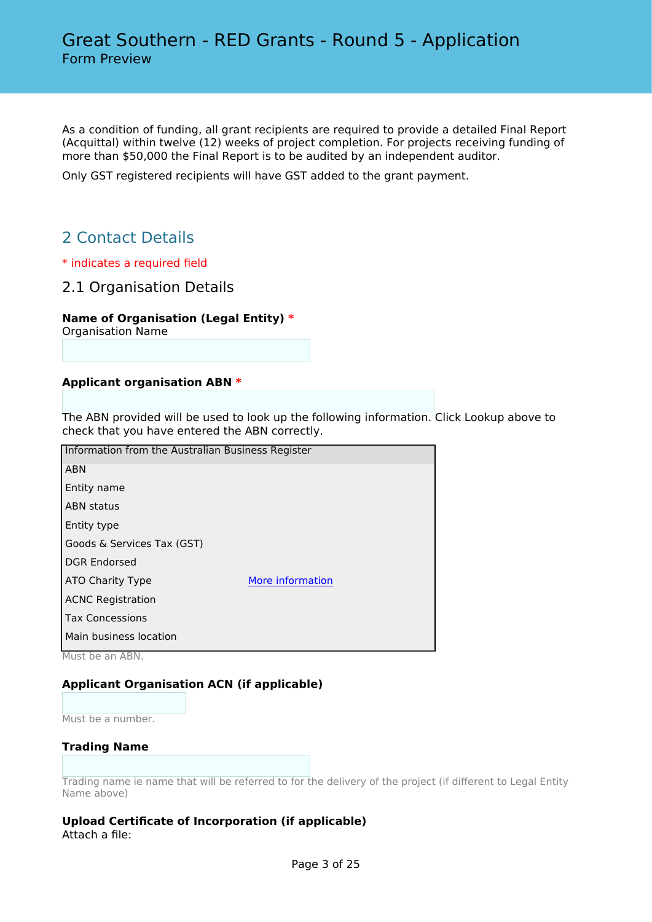As a condition of funding, all grant recipients are required to provide a detailed Final Report (Acquittal) within twelve (12) weeks of project completion. For projects receiving funding of more than \$50,000 the Final Report is to be audited by an independent auditor.

Only GST registered recipients will have GST added to the grant payment.

# 2 Contact Details

- \* indicates a required field
- 2.1 Organisation Details

#### **Name of Organisation (Legal Entity) \***

Organisation Name

#### **Applicant organisation ABN \***

The ABN provided will be used to look up the following information. Click Lookup above to check that you have entered the ABN correctly.

| Information from the Australian Business Register |                  |
|---------------------------------------------------|------------------|
| <b>ABN</b>                                        |                  |
| Entity name                                       |                  |
| <b>ABN</b> status                                 |                  |
| Entity type                                       |                  |
| Goods & Services Tax (GST)                        |                  |
| <b>DGR Endorsed</b>                               |                  |
| ATO Charity Type                                  | More information |
| <b>ACNC Registration</b>                          |                  |
| <b>Tax Concessions</b>                            |                  |
| Main business location                            |                  |
|                                                   |                  |

Must be an ABN.

#### **Applicant Organisation ACN (if applicable)**

Must be a number.

#### **Trading Name**

Trading name ie name that will be referred to for the delivery of the project (if different to Legal Entity Name above)

#### **Upload Certificate of Incorporation (if applicable)** Attach a file: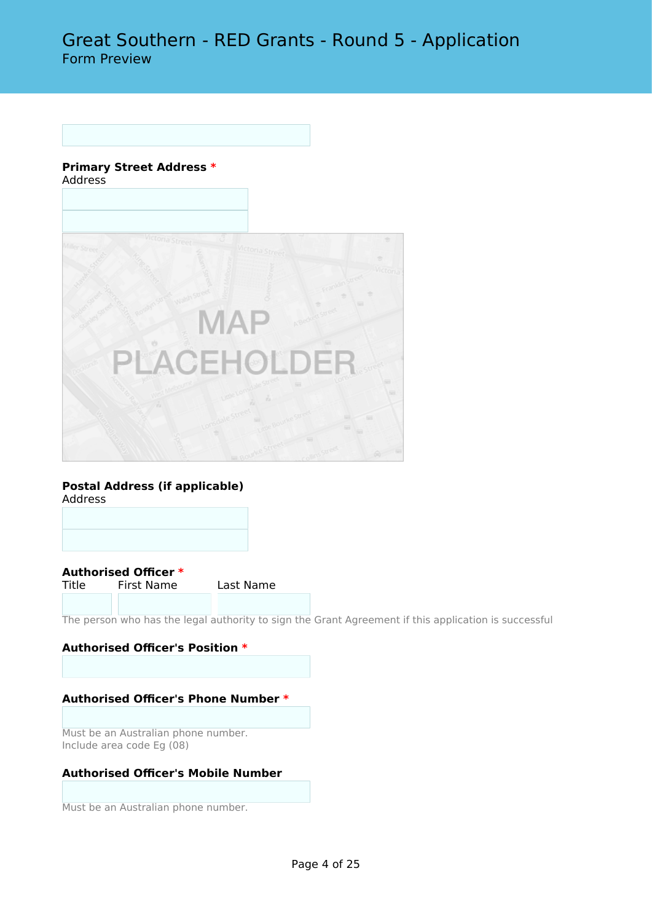#### **Primary Street Address \*** Address



#### **Postal Address (if applicable)** Address



**Authorised Officer \*** First Name Last Name

The person who has the legal authority to sign the Grant Agreement if this application is successful

#### **Authorised Officer's Position \***

#### **Authorised Officer's Phone Number \***

Must be an Australian phone number. Include area code Eg (08)

#### **Authorised Officer's Mobile Number**

Must be an Australian phone number.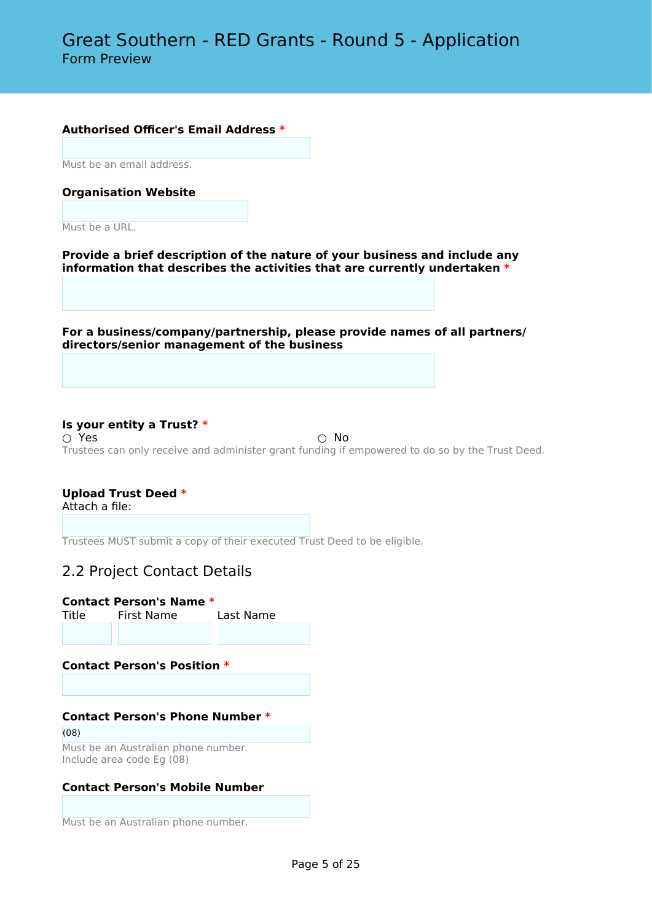#### **Authorised Officer's Email Address \***

Must be an email address.

#### **Organisation Website**

Must be a URL.

**Provide a brief description of the nature of your business and include any information that describes the activities that are currently undertaken \***

**For a business/company/partnership, please provide names of all partners/ directors/senior management of the business**

#### **Is your entity a Trust? \***

 $\bigcirc$  Yes  $\bigcirc$  No Trustees can only receive and administer grant funding if empowered to do so by the Trust Deed.

#### **Upload Trust Deed \***

Attach a file:

Trustees MUST submit a copy of their executed Trust Deed to be eligible.

### 2.2 Project Contact Details

#### **Contact Person's Name \***

Title First Name Last Name

#### **Contact Person's Position \***

#### **Contact Person's Phone Number \***

(08) Must be an Australian phone number. Include area code Eg (08)

#### **Contact Person's Mobile Number**

Must be an Australian phone number.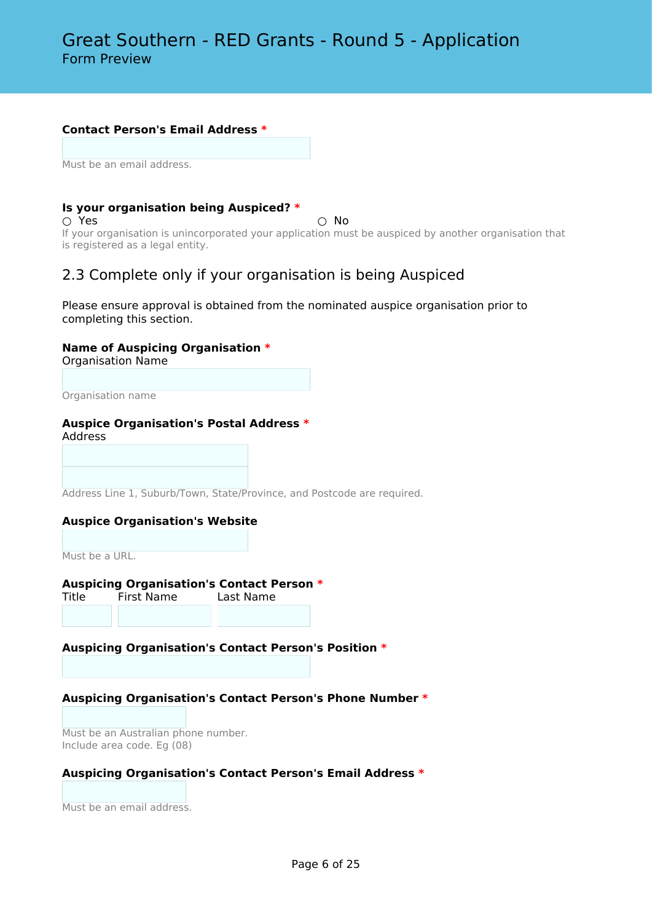#### **Contact Person's Email Address \***

Must be an email address.

#### **Is your organisation being Auspiced? \***

 $\bigcirc$  Yes  $\bigcirc$  No

If your organisation is unincorporated your application must be auspiced by another organisation that is registered as a legal entity.

### 2.3 Complete only if your organisation is being Auspiced

Please ensure approval is obtained from the nominated auspice organisation prior to completing this section.

#### **Name of Auspicing Organisation \***

Organisation Name

Organisation name

#### **Auspice Organisation's Postal Address \***

Address

Address Line 1, Suburb/Town, State/Province, and Postcode are required.

#### **Auspice Organisation's Website**

Must be a URL.

# **Auspicing Organisation's Contact Person \***

Title First Name

#### **Auspicing Organisation's Contact Person's Position \***

#### **Auspicing Organisation's Contact Person's Phone Number \***

Must be an Australian phone number. Include area code. Eg (08)

#### **Auspicing Organisation's Contact Person's Email Address \***

Must be an email address.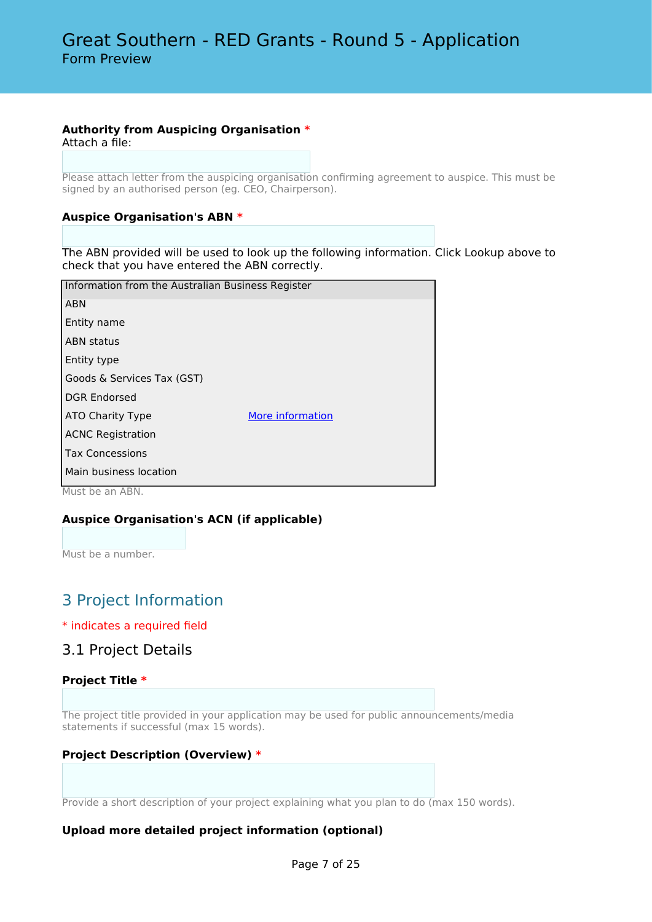#### **Authority from Auspicing Organisation \***

Attach a file:

Please attach letter from the auspicing organisation confirming agreement to auspice. This must be signed by an authorised person (eg. CEO, Chairperson).

#### **Auspice Organisation's ABN \***

The ABN provided will be used to look up the following information. Click Lookup above to check that you have entered the ABN correctly.

| Information from the Australian Business Register |                  |  |  |  |
|---------------------------------------------------|------------------|--|--|--|
| <b>ABN</b>                                        |                  |  |  |  |
| Entity name                                       |                  |  |  |  |
| <b>ABN</b> status                                 |                  |  |  |  |
| Entity type                                       |                  |  |  |  |
| Goods & Services Tax (GST)                        |                  |  |  |  |
| <b>DGR Endorsed</b>                               |                  |  |  |  |
| ATO Charity Type                                  | More information |  |  |  |
| <b>ACNC Registration</b>                          |                  |  |  |  |
| <b>Tax Concessions</b>                            |                  |  |  |  |
| Main business location                            |                  |  |  |  |

Must be an ABN.

#### **Auspice Organisation's ACN (if applicable)**

Must be a number.

# 3 Project Information

#### \* indicates a required field

### 3.1 Project Details

#### **Project Title \***

The project title provided in your application may be used for public announcements/media statements if successful (max 15 words).

#### **Project Description (Overview) \***

Provide a short description of your project explaining what you plan to do (max 150 words).

#### **Upload more detailed project information (optional)**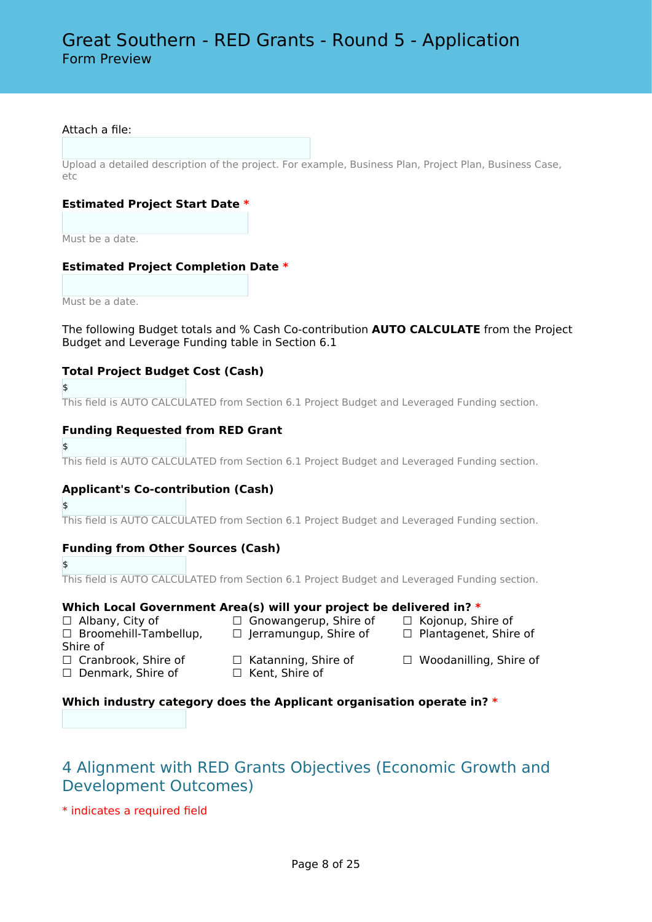#### Attach a file:

Upload a detailed description of the project. For example, Business Plan, Project Plan, Business Case, etc

#### **Estimated Project Start Date \***

Must be a date.

#### **Estimated Project Completion Date \***

Must be a date.

The following Budget totals and % Cash Co-contribution **AUTO CALCULATE** from the Project Budget and Leverage Funding table in Section 6.1

#### **Total Project Budget Cost (Cash)**

\$

This field is AUTO CALCULATED from Section 6.1 Project Budget and Leveraged Funding section.

#### **Funding Requested from RED Grant**

\$

This field is AUTO CALCULATED from Section 6.1 Project Budget and Leveraged Funding section.

#### **Applicant's Co-contribution (Cash)**

\$

This field is AUTO CALCULATED from Section 6.1 Project Budget and Leveraged Funding section.

#### **Funding from Other Sources (Cash)**

\$

This field is AUTO CALCULATED from Section 6.1 Project Budget and Leveraged Funding section.

#### **Which Local Government Area(s) will your project be delivered in? \***

- □ Broomehill-Tambellup,
- ☐ Albany, City of ☐ Gnowangerup, Shire of ☐ Kojonup, Shire of ☐ Jerramungup, Shire of ☐ Plantagenet, Shire of
	- -
- Shire of
- ☐ Denmark, Shire of ☐ Kent, Shire of
- ☐ Cranbrook, Shire of ☐ Katanning, Shire of ☐ Woodanilling, Shire of

#### **Which industry category does the Applicant organisation operate in? \***

# 4 Alignment with RED Grants Objectives (Economic Growth and Development Outcomes)

\* indicates a required field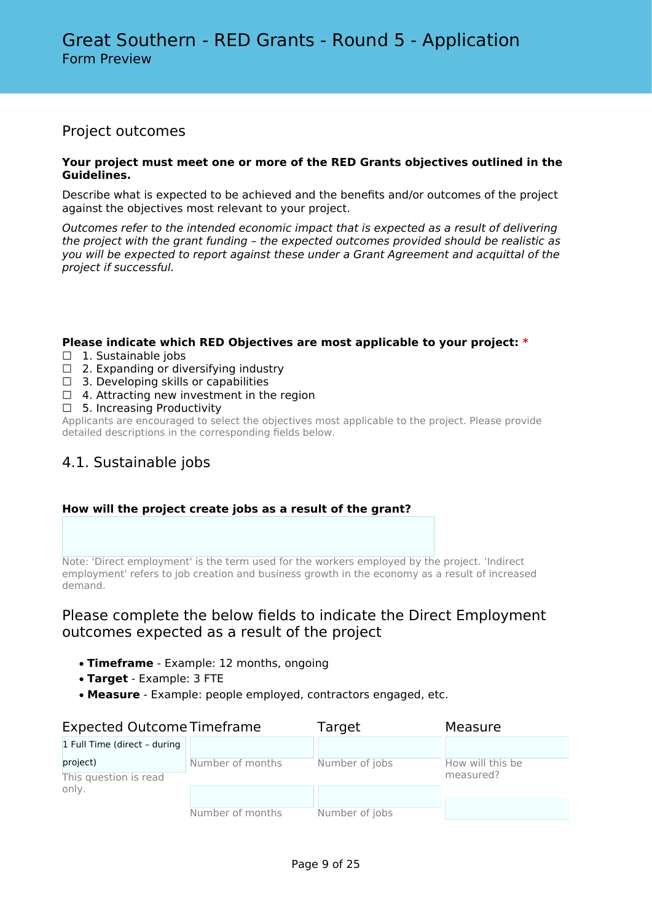### Project outcomes

#### **Your project must meet one or more of the RED Grants objectives outlined in the Guidelines.**

Describe what is expected to be achieved and the benefits and/or outcomes of the project against the objectives most relevant to your project.

*Outcomes refer to the intended economic impact that is expected as a result of delivering the project with the grant funding – the expected outcomes provided should be realistic as you will be expected to report against these under a Grant Agreement and acquittal of the project if successful.*

#### **Please indicate which RED Objectives are most applicable to your project: \***

- □ 1. Sustainable jobs
- $\Box$  2. Expanding or diversifying industry
- $\Box$  3. Developing skills or capabilities
- $\Box$  4. Attracting new investment in the region
- □ 5. Increasing Productivity

Applicants are encouraged to select the objectives most applicable to the project. Please provide detailed descriptions in the corresponding fields below.

## 4.1. Sustainable jobs

#### **How will the project create jobs as a result of the grant?**

Note: 'Direct employment' is the term used for the workers employed by the project. 'Indirect employment' refers to job creation and business growth in the economy as a result of increased demand.

### Please complete the below fields to indicate the Direct Employment outcomes expected as a result of the project

- **Timeframe** Example: 12 months, ongoing
- **Target** Example: 3 FTE
- **Measure** Example: people employed, contractors engaged, etc.

| <b>Expected Outcome Timeframe</b> |                  | Target         | Measure          |
|-----------------------------------|------------------|----------------|------------------|
| 1 Full Time (direct - during      |                  |                |                  |
| project)                          | Number of months | Number of jobs | How will this be |
| This question is read             |                  |                | measured?        |
| only.                             |                  |                |                  |
|                                   |                  |                |                  |
|                                   | Number of months | Number of jobs |                  |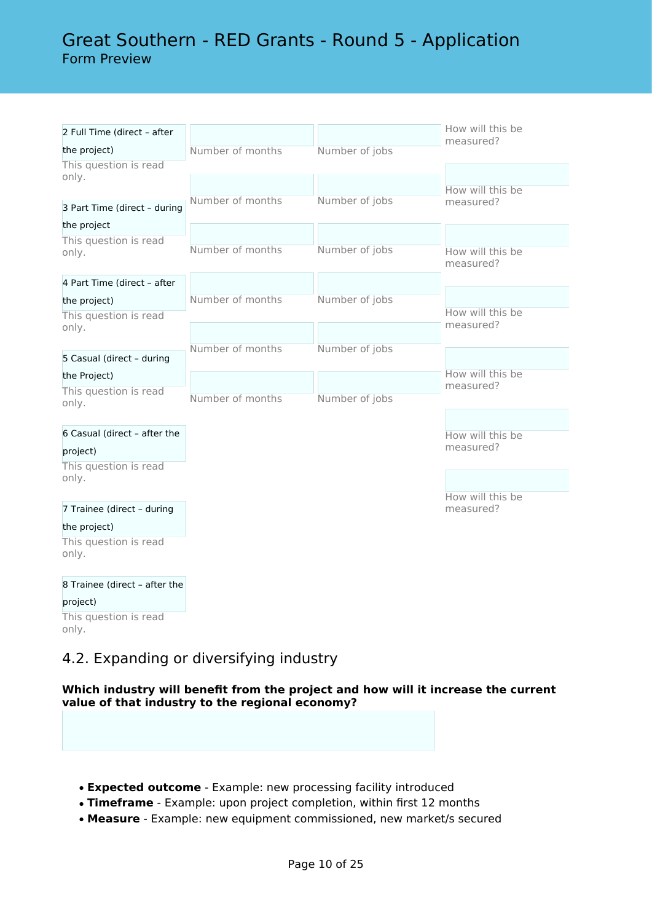# Great Southern - RED Grants - Round 5 - Application Form Preview

| 2 Full Time (direct - after           |                  |                | How will this be<br>measured? |
|---------------------------------------|------------------|----------------|-------------------------------|
| the project)                          | Number of months | Number of jobs |                               |
| This question is read<br>only.        |                  |                |                               |
|                                       |                  |                | How will this be              |
| 3 Part Time (direct - during          | Number of months | Number of jobs | measured?                     |
| the project                           |                  |                |                               |
| This question is read                 | Number of months | Number of jobs | How will this be              |
| only.                                 |                  |                | measured?                     |
| 4 Part Time (direct - after           |                  |                |                               |
| the project)                          | Number of months | Number of jobs |                               |
| This question is read                 |                  |                | How will this be              |
| only.                                 |                  |                | measured?                     |
|                                       | Number of months | Number of jobs |                               |
| 5 Casual (direct - during             |                  |                | How will this be              |
| the Project)                          |                  |                | measured?                     |
| This question is read<br>only.        | Number of months | Number of jobs |                               |
|                                       |                  |                |                               |
| 6 Casual (direct - after the          |                  |                | How will this be              |
| project)                              |                  |                | measured?                     |
| This question is read                 |                  |                |                               |
| only.                                 |                  |                |                               |
| 7 Trainee (direct - during            |                  |                | How will this be<br>measured? |
|                                       |                  |                |                               |
| the project)<br>This question is read |                  |                |                               |
| only.                                 |                  |                |                               |
| 8 Trainee (direct - after the         |                  |                |                               |
| project)                              |                  |                |                               |
| This question is read<br>only.        |                  |                |                               |

# 4.2. Expanding or diversifying industry

#### **Which industry will benefit from the project and how will it increase the current value of that industry to the regional economy?**

- **Expected outcome** Example: new processing facility introduced
- **Timeframe** Example: upon project completion, within first 12 months
- **Measure** Example: new equipment commissioned, new market/s secured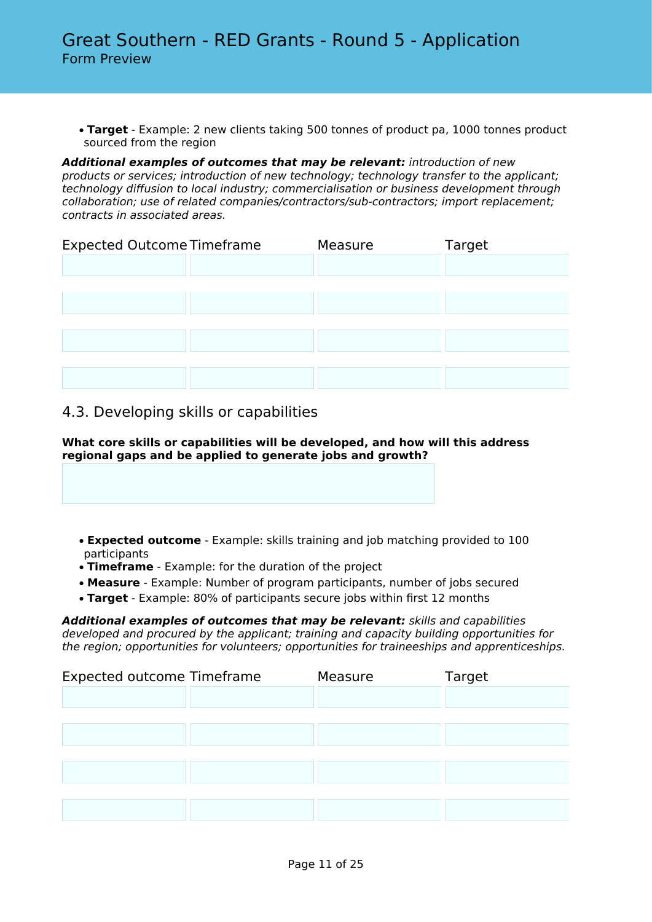• **Target** - Example: 2 new clients taking 500 tonnes of product pa, 1000 tonnes product sourced from the region

*Additional examples of outcomes that may be relevant: introduction of new products or services; introduction of new technology; technology transfer to the applicant; technology diffusion to local industry; commercialisation or business development through collaboration; use of related companies/contractors/sub-contractors; import replacement; contracts in associated areas.*

| <b>Expected Outcome Timeframe</b> |  | Measure | Target |
|-----------------------------------|--|---------|--------|
|                                   |  |         |        |
|                                   |  |         |        |
|                                   |  |         |        |
|                                   |  |         |        |
|                                   |  |         |        |
|                                   |  |         |        |
|                                   |  |         |        |

### 4.3. Developing skills or capabilities

**What core skills or capabilities will be developed, and how will this address regional gaps and be applied to generate jobs and growth?**

- **Expected outcome** Example: skills training and job matching provided to 100 participants
- **Timeframe** Example: for the duration of the project
- **Measure** Example: Number of program participants, number of jobs secured
- **Target** Example: 80% of participants secure jobs within first 12 months

*Additional examples of outcomes that may be relevant: skills and capabilities developed and procured by the applicant; training and capacity building opportunities for the region; opportunities for volunteers; opportunities for traineeships and apprenticeships.*

| <b>Expected outcome Timeframe</b> | Measure | Target |
|-----------------------------------|---------|--------|
|                                   |         |        |
|                                   |         |        |
|                                   |         |        |
|                                   |         |        |
|                                   |         |        |
|                                   |         |        |
|                                   |         |        |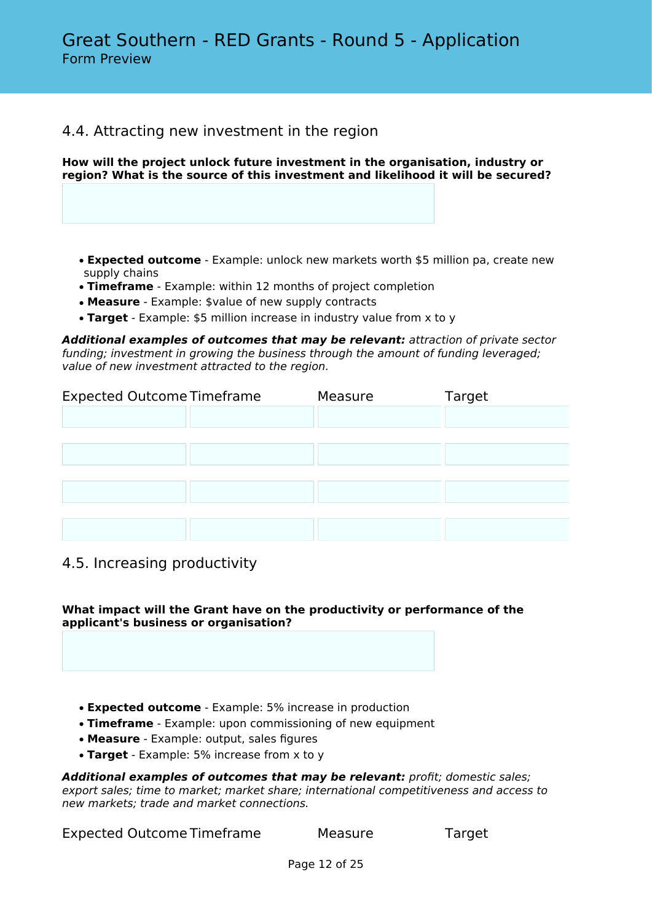### 4.4. Attracting new investment in the region

**How will the project unlock future investment in the organisation, industry or region? What is the source of this investment and likelihood it will be secured?**

- **Expected outcome** Example: unlock new markets worth \$5 million pa, create new supply chains
- **Timeframe** Example: within 12 months of project completion
- **Measure** Example: \$value of new supply contracts
- **Target** Example: \$5 million increase in industry value from x to y

*Additional examples of outcomes that may be relevant: attraction of private sector funding; investment in growing the business through the amount of funding leveraged; value of new investment attracted to the region.*

| <b>Expected Outcome Timeframe</b> | Measure | Target |
|-----------------------------------|---------|--------|
|                                   |         |        |
|                                   |         |        |
|                                   |         |        |
|                                   |         |        |
|                                   |         |        |
|                                   |         |        |
|                                   |         |        |

### 4.5. Increasing productivity

**What impact will the Grant have on the productivity or performance of the applicant's business or organisation?**

- **Expected outcome** Example: 5% increase in production
- **Timeframe** Example: upon commissioning of new equipment
- **Measure** Example: output, sales figures
- **Target** Example: 5% increase from x to y

*Additional examples of outcomes that may be relevant: profit; domestic sales; export sales; time to market; market share; international competitiveness and access to new markets; trade and market connections.*

Expected Outcome Timeframe Measure Target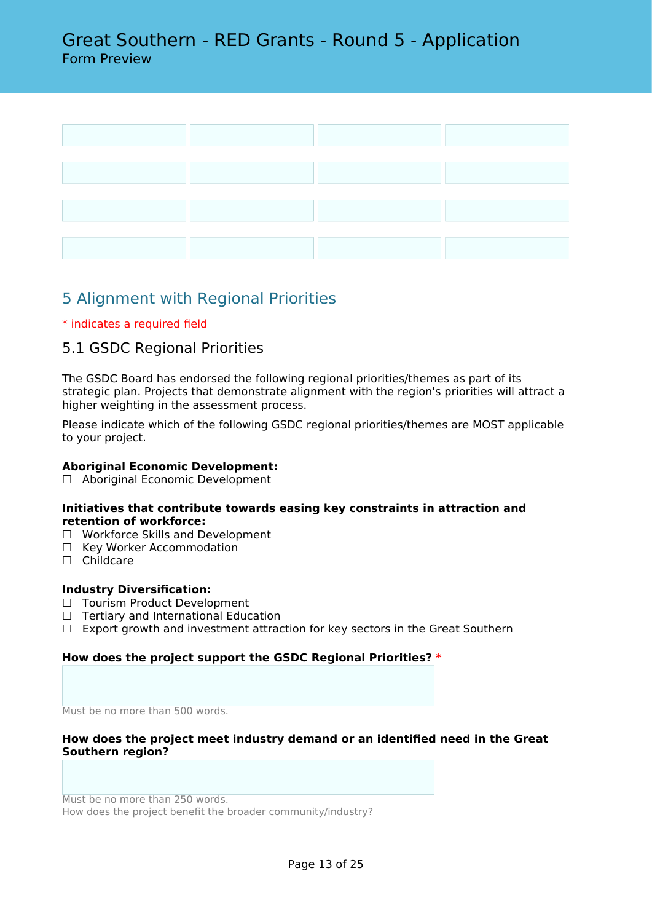

# 5 Alignment with Regional Priorities

#### \* indicates a required field

### 5.1 GSDC Regional Priorities

The GSDC Board has endorsed the following regional priorities/themes as part of its strategic plan. Projects that demonstrate alignment with the region's priorities will attract a higher weighting in the assessment process.

Please indicate which of the following GSDC regional priorities/themes are MOST applicable to your project.

#### **Aboriginal Economic Development:**

☐ Aboriginal Economic Development

#### **Initiatives that contribute towards easing key constraints in attraction and retention of workforce:**

- ☐ Workforce Skills and Development
- □ Key Worker Accommodation
- □ Childcare

#### **Industry Diversification:**

- □ Tourism Product Development
- □ Tertiary and International Education
- $\Box$  Export growth and investment attraction for key sectors in the Great Southern

#### **How does the project support the GSDC Regional Priorities? \***

Must be no more than 500 words.

#### **How does the project meet industry demand or an identified need in the Great Southern region?**

Must be no more than 250 words. How does the project benefit the broader community/industry?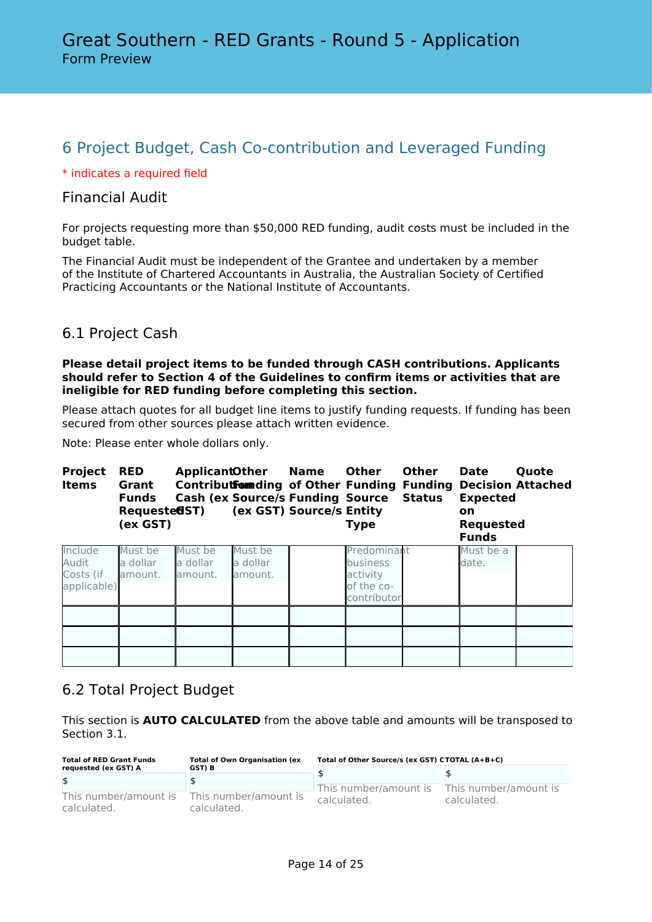# 6 Project Budget, Cash Co-contribution and Leveraged Funding

#### \* indicates a required field

### Financial Audit

For projects requesting more than \$50,000 RED funding, audit costs must be included in the budget table.

The Financial Audit must be independent of the Grantee and undertaken by a member of the Institute of Chartered Accountants in Australia, the Australian Society of Certified Practicing Accountants or the National Institute of Accountants.

### 6.1 Project Cash

#### **Please detail project items to be funded through CASH contributions. Applicants should refer to Section 4 of the Guidelines to confirm items or activities that are ineligible for RED funding before completing this section.**

Please attach quotes for all budget line items to justify funding requests. If funding has been secured from other sources please attach written evidence.

Note: Please enter whole dollars only.

| <b>Project</b><br><b>Items</b>               | <b>RED</b><br>Grant<br><b>Funds</b><br>Requeste <b>65T</b> )<br>(ex GST) | <b>ApplicantOther</b>          |                                | <b>Name</b><br>Contribut Form ding of Other Funding Funding<br><b>Cash (ex Source/s Funding Source)</b><br>(ex GST) Source/s Entity | <b>Other</b><br>Type                                             | <b>Other</b><br><b>Status</b> | <b>Date</b><br><b>Expected</b><br><b>on</b><br><b>Requested</b><br><b>Funds</b> | Quote<br><b>Decision Attached</b> |
|----------------------------------------------|--------------------------------------------------------------------------|--------------------------------|--------------------------------|-------------------------------------------------------------------------------------------------------------------------------------|------------------------------------------------------------------|-------------------------------|---------------------------------------------------------------------------------|-----------------------------------|
| Include<br>Audit<br>Costs (if<br>applicable) | Must be<br>a dollar<br>lamount.                                          | Must be<br>a dollar<br>amount. | Must be<br>a dollar<br>amount. |                                                                                                                                     | Predominant<br>business<br>activity<br>of the co-<br>contributor |                               | Must be a<br>date.                                                              |                                   |
|                                              |                                                                          |                                |                                |                                                                                                                                     |                                                                  |                               |                                                                                 |                                   |
|                                              |                                                                          |                                |                                |                                                                                                                                     |                                                                  |                               |                                                                                 |                                   |
|                                              |                                                                          |                                |                                |                                                                                                                                     |                                                                  |                               |                                                                                 |                                   |

### 6.2 Total Project Budget

This section is **AUTO CALCULATED** from the above table and amounts will be transposed to Section 3.1.

| <b>Total of RED Grant Funds</b>      | <b>Total of Own Organisation (ex</b> | Total of Other Source/s (ex GST) CTOTAL (A+B+C) |                                      |  |
|--------------------------------------|--------------------------------------|-------------------------------------------------|--------------------------------------|--|
| requested (ex GST) A                 | GST) B                               |                                                 |                                      |  |
| \$                                   |                                      |                                                 |                                      |  |
| This number/amount is<br>calculated. | This number/amount is<br>calculated. | This number/amount is<br>calculated.            | This number/amount is<br>calculated. |  |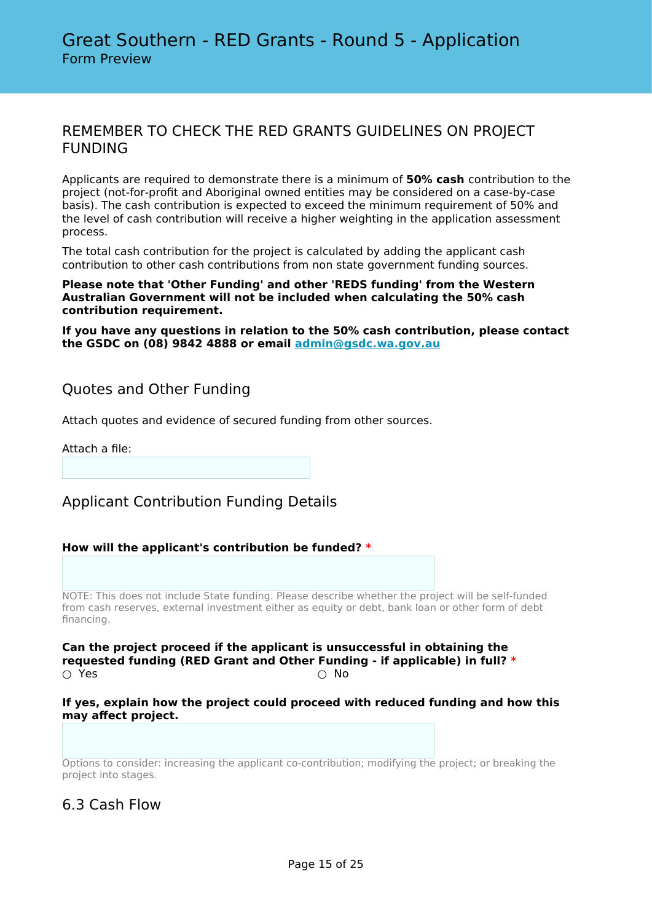### REMEMBER TO CHECK THE RED GRANTS GUIDELINES ON PROJECT FUNDING

Applicants are required to demonstrate there is a minimum of **50% cash** contribution to the project (not-for-profit and Aboriginal owned entities may be considered on a case-by-case basis). The cash contribution is expected to exceed the minimum requirement of 50% and the level of cash contribution will receive a higher weighting in the application assessment process.

The total cash contribution for the project is calculated by adding the applicant cash contribution to other cash contributions from non state government funding sources.

#### **Please note that 'Other Funding' and other 'REDS funding' from the Western Australian Government will not be included when calculating the 50% cash contribution requirement.**

**If you have any questions in relation to the 50% cash contribution, please contact the GSDC on (08) 9842 4888 or email [admin@gsdc.wa.gov.au](mailto:admin@gsdc.wa.gov.au)**

### Quotes and Other Funding

Attach quotes and evidence of secured funding from other sources.

Attach a file:

# Applicant Contribution Funding Details

#### **How will the applicant's contribution be funded? \***

NOTE: This does not include State funding. Please describe whether the project will be self-funded from cash reserves, external investment either as equity or debt, bank loan or other form of debt financing.

**Can the project proceed if the applicant is unsuccessful in obtaining the requested funding (RED Grant and Other Funding - if applicable) in full? \***  $\bigcirc$  Yes  $\bigcirc$  No

#### **If yes, explain how the project could proceed with reduced funding and how this may affect project.**

Options to consider: increasing the applicant co-contribution; modifying the project; or breaking the project into stages.

### 6.3 Cash Flow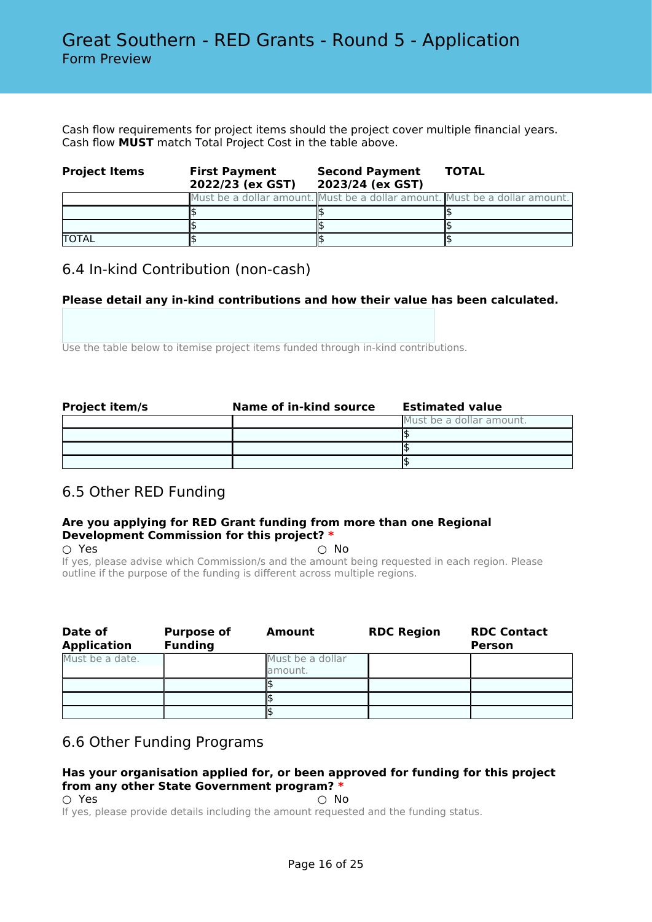Cash flow requirements for project items should the project cover multiple financial years. Cash flow **MUST** match Total Project Cost in the table above.

| <b>Project Items</b> | <b>First Payment</b><br>2022/23 (ex GST) | <b>Second Payment</b><br>2023/24 (ex GST) | <b>TOTAL</b>                                                               |
|----------------------|------------------------------------------|-------------------------------------------|----------------------------------------------------------------------------|
|                      |                                          |                                           | Must be a dollar amount. Must be a dollar amount. Must be a dollar amount. |
|                      |                                          |                                           |                                                                            |
|                      |                                          |                                           |                                                                            |
| <b>TOTAL</b>         |                                          |                                           |                                                                            |

### 6.4 In-kind Contribution (non-cash)

#### **Please detail any in-kind contributions and how their value has been calculated.**

Use the table below to itemise project items funded through in-kind contributions.

| <b>Project item/s</b> | Name of in-kind source | <b>Estimated value</b>   |
|-----------------------|------------------------|--------------------------|
|                       |                        | Must be a dollar amount. |
|                       |                        |                          |
|                       |                        |                          |
|                       |                        |                          |

# 6.5 Other RED Funding

#### **Are you applying for RED Grant funding from more than one Regional Development Commission for this project? \***

 $\bigcirc$  Yes  $\bigcirc$  No If yes, please advise which Commission/s and the amount being requested in each region. Please outline if the purpose of the funding is different across multiple regions.

| Date of<br><b>Application</b> | <b>Purpose of</b><br><b>Funding</b> | Amount                      | <b>RDC Region</b> | <b>RDC Contact</b><br><b>Person</b> |
|-------------------------------|-------------------------------------|-----------------------------|-------------------|-------------------------------------|
| Must be a date.               |                                     | Must be a dollar<br>amount. |                   |                                     |
|                               |                                     |                             |                   |                                     |
|                               |                                     |                             |                   |                                     |
|                               |                                     |                             |                   |                                     |

### 6.6 Other Funding Programs

#### **Has your organisation applied for, or been approved for funding for this project from any other State Government program? \***

- 
- $\bigcirc$  Yes  $\bigcirc$  No

If yes, please provide details including the amount requested and the funding status.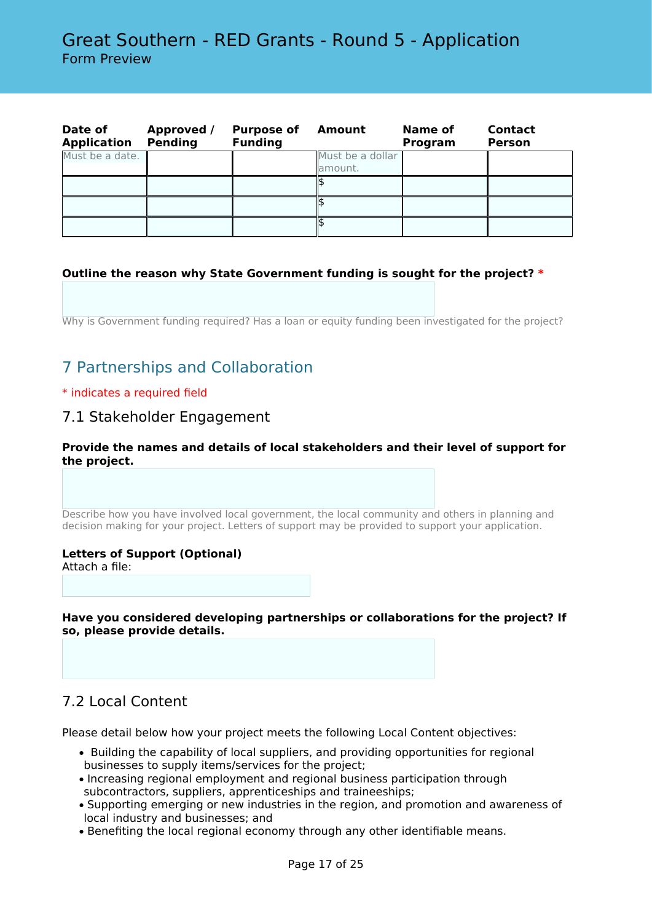| Date of<br><b>Application</b> | Approved /<br><b>Pending</b> | <b>Purpose of</b><br><b>Funding</b> | Amount                       | Name of<br>Program | <b>Contact</b><br><b>Person</b> |
|-------------------------------|------------------------------|-------------------------------------|------------------------------|--------------------|---------------------------------|
| Must be a date.               |                              |                                     | Must be a dollar<br>lamount. |                    |                                 |
|                               |                              |                                     |                              |                    |                                 |
|                               |                              |                                     |                              |                    |                                 |
|                               |                              |                                     |                              |                    |                                 |

#### **Outline the reason why State Government funding is sought for the project? \***

Why is Government funding required? Has a loan or equity funding been investigated for the project?

# 7 Partnerships and Collaboration

#### \* indicates a required field

### 7.1 Stakeholder Engagement

**Provide the names and details of local stakeholders and their level of support for the project.**

Describe how you have involved local government, the local community and others in planning and decision making for your project. Letters of support may be provided to support your application.

#### **Letters of Support (Optional)**

Attach a file:

**Have you considered developing partnerships or collaborations for the project? If so, please provide details.**

### 7.2 Local Content

Please detail below how your project meets the following Local Content objectives:

- Building the capability of local suppliers, and providing opportunities for regional businesses to supply items/services for the project;
- Increasing regional employment and regional business participation through subcontractors, suppliers, apprenticeships and traineeships;
- Supporting emerging or new industries in the region, and promotion and awareness of local industry and businesses; and
- Benefiting the local regional economy through any other identifiable means.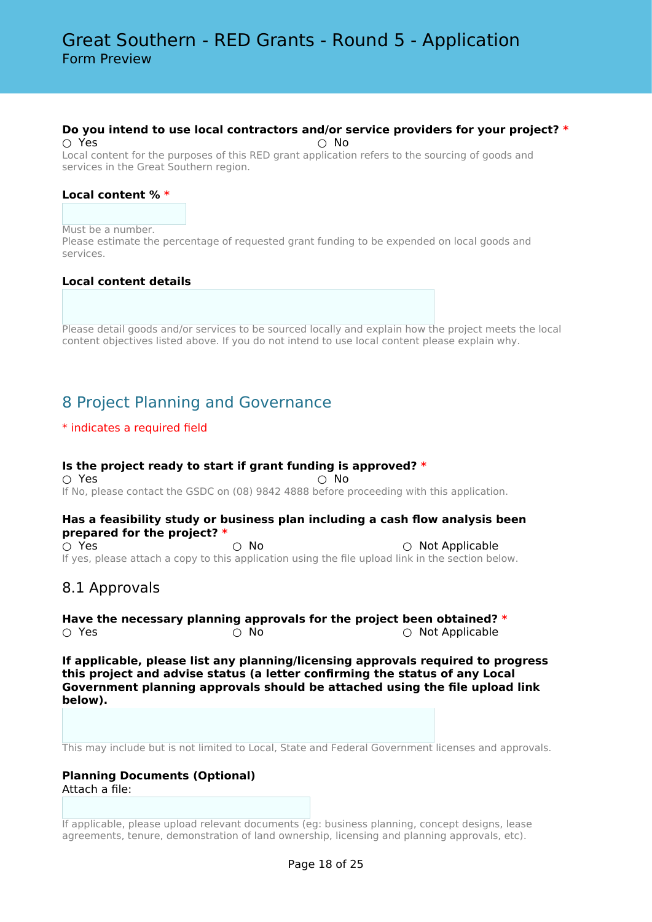#### **Do you intend to use local contractors and/or service providers for your project? \***

○ Yes ○ No Local content for the purposes of this RED grant application refers to the sourcing of goods and services in the Great Southern region.

#### **Local content % \***

#### Must be a number.

Please estimate the percentage of requested grant funding to be expended on local goods and services.

#### **Local content details**

Please detail goods and/or services to be sourced locally and explain how the project meets the local content objectives listed above. If you do not intend to use local content please explain why.

# 8 Project Planning and Governance

#### \* indicates a required field

#### **Is the project ready to start if grant funding is approved? \***  $\cap$  Yes  $\cap$  No If No, please contact the GSDC on (08) 9842 4888 before proceeding with this application.

#### **Has a feasibility study or business plan including a cash flow analysis been prepared for the project? \***

○ Yes ○ No ○ Not Applicable If yes, please attach a copy to this application using the file upload link in the section below.

### 8.1 Approvals

**Have the necessary planning approvals for the project been obtained? \*** ○ Yes ○ No ○ Not Applicable

**If applicable, please list any planning/licensing approvals required to progress this project and advise status (a letter confirming the status of any Local Government planning approvals should be attached using the file upload link below).**

This may include but is not limited to Local, State and Federal Government licenses and approvals.

#### **Planning Documents (Optional)** Attach a file:

If applicable, please upload relevant documents (eg: business planning, concept designs, lease agreements, tenure, demonstration of land ownership, licensing and planning approvals, etc).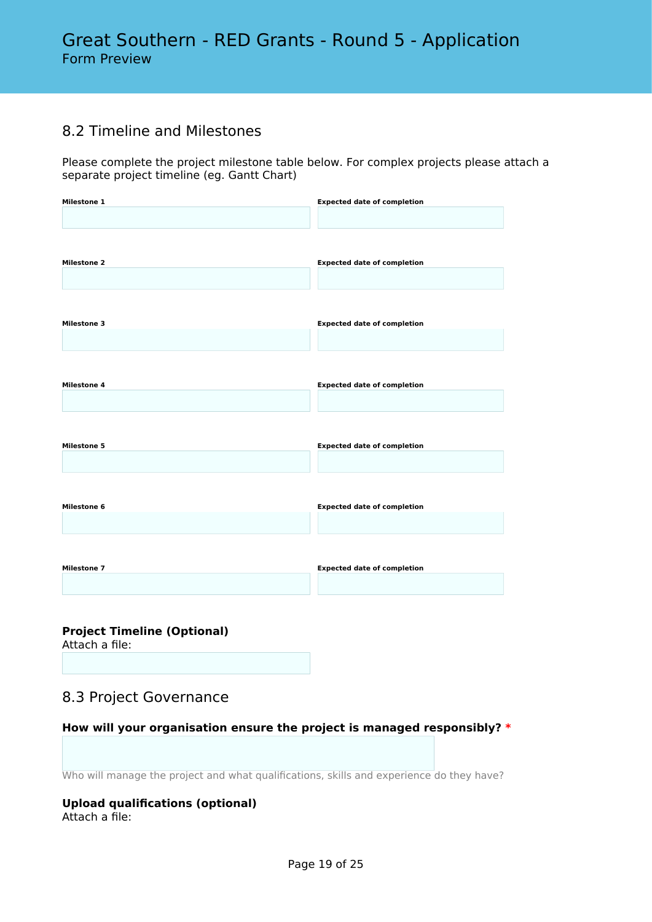### 8.2 Timeline and Milestones

Please complete the project milestone table below. For complex projects please attach a separate project timeline (eg. Gantt Chart)

| <b>Milestone 1</b> | <b>Expected date of completion</b> |
|--------------------|------------------------------------|
|                    |                                    |
|                    |                                    |
|                    |                                    |
| <b>Milestone 2</b> | <b>Expected date of completion</b> |
|                    |                                    |
|                    |                                    |
| <b>Milestone 3</b> | <b>Expected date of completion</b> |
|                    |                                    |
|                    |                                    |
|                    |                                    |
| <b>Milestone 4</b> | <b>Expected date of completion</b> |
|                    |                                    |
|                    |                                    |
|                    |                                    |
| <b>Milestone 5</b> | <b>Expected date of completion</b> |
|                    |                                    |
|                    |                                    |
| <b>Milestone 6</b> | <b>Expected date of completion</b> |
|                    |                                    |
|                    |                                    |
|                    |                                    |
| <b>Milestone 7</b> | <b>Expected date of completion</b> |
|                    |                                    |
|                    |                                    |

**Project Timeline (Optional)**

Attach a file:

# 8.3 Project Governance

**How will your organisation ensure the project is managed responsibly? \***

Who will manage the project and what qualifications, skills and experience do they have?

#### **Upload qualifications (optional)** Attach a file: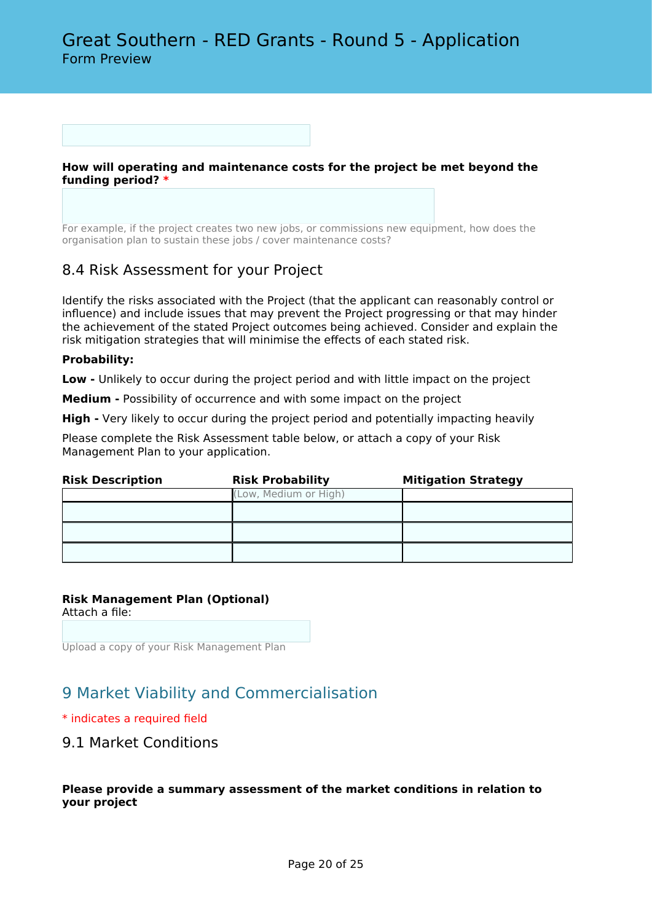**How will operating and maintenance costs for the project be met beyond the funding period? \***

For example, if the project creates two new jobs, or commissions new equipment, how does the organisation plan to sustain these jobs / cover maintenance costs?

### 8.4 Risk Assessment for your Project

Identify the risks associated with the Project (that the applicant can reasonably control or influence) and include issues that may prevent the Project progressing or that may hinder the achievement of the stated Project outcomes being achieved. Consider and explain the risk mitigation strategies that will minimise the effects of each stated risk.

#### **Probability:**

**Low -** Unlikely to occur during the project period and with little impact on the project

**Medium -** Possibility of occurrence and with some impact on the project

**High -** Very likely to occur during the project period and potentially impacting heavily

Please complete the Risk Assessment table below, or attach a copy of your Risk Management Plan to your application.

| <b>Risk Description</b> | <b>Risk Probability</b> | <b>Mitigation Strategy</b> |
|-------------------------|-------------------------|----------------------------|
|                         | (Low, Medium or High)   |                            |
|                         |                         |                            |
|                         |                         |                            |
|                         |                         |                            |

#### **Risk Management Plan (Optional)**

Attach a file:

Upload a copy of your Risk Management Plan

# 9 Market Viability and Commercialisation

#### \* indicates a required field

### 9.1 Market Conditions

#### **Please provide a summary assessment of the market conditions in relation to your project**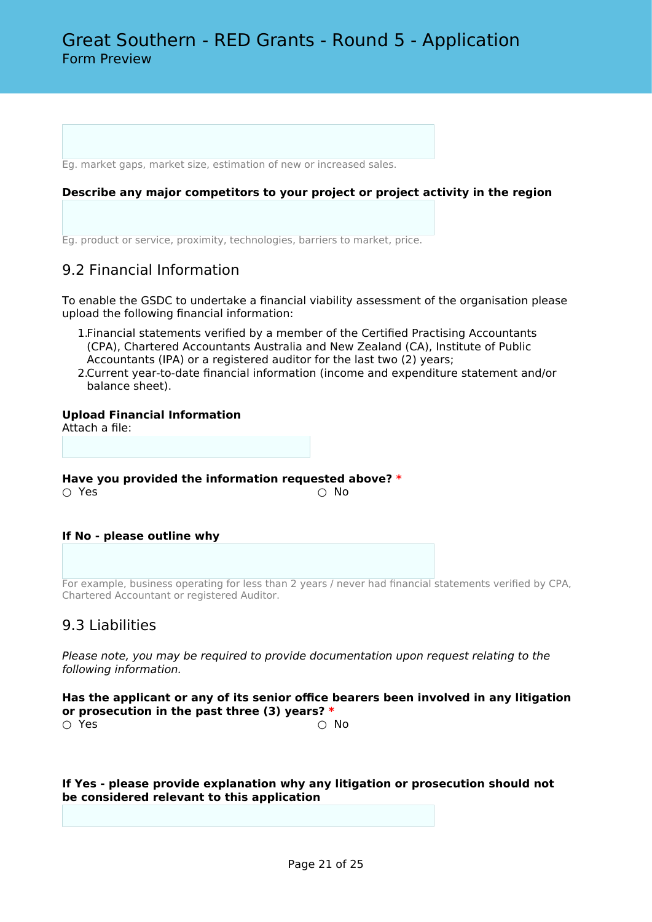Eg. market gaps, market size, estimation of new or increased sales.

#### **Describe any major competitors to your project or project activity in the region**

Eg. product or service, proximity, technologies, barriers to market, price.

### 9.2 Financial Information

To enable the GSDC to undertake a financial viability assessment of the organisation please upload the following financial information:

- 1.Financial statements verified by a member of the Certified Practising Accountants (CPA), Chartered Accountants Australia and New Zealand (CA), Institute of Public Accountants (IPA) or a registered auditor for the last two (2) years;
- 2.Current year-to-date financial information (income and expenditure statement and/or balance sheet).

#### **Upload Financial Information**

Attach a file:

**Have you provided the information requested above? \***

#### ○ Yes

#### **If No - please outline why**

For example, business operating for less than 2 years / never had financial statements verified by CPA, Chartered Accountant or registered Auditor.

### 9.3 Liabilities

*Please note, you may be required to provide documentation upon request relating to the following information.*

**Has the applicant or any of its senior office bearers been involved in any litigation or prosecution in the past three (3) years? \***  $\bigcirc$  Yes  $\bigcirc$  No

**If Yes - please provide explanation why any litigation or prosecution should not be considered relevant to this application**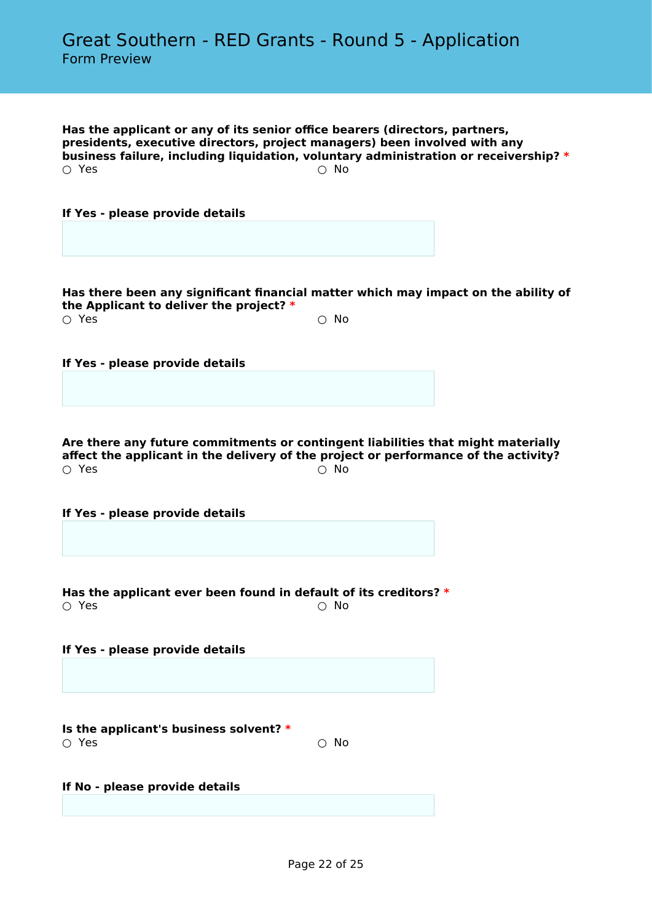**Has the applicant or any of its senior office bearers (directors, partners, presidents, executive directors, project managers) been involved with any business failure, including liquidation, voluntary administration or receivership? \***  $\bigcirc$  Yes  $\bigcirc$  No

**If Yes - please provide details**

**Has there been any significant financial matter which may impact on the ability of the Applicant to deliver the project? \***  $\bigcirc$  Yes  $\bigcirc$  No

**If Yes - please provide details**

**Are there any future commitments or contingent liabilities that might materially affect the applicant in the delivery of the project or performance of the activity?**  $\bigcirc$  Yes  $\bigcirc$  No

**If Yes - please provide details**

**Has the applicant ever been found in default of its creditors? \***  $\bigcirc$  Yes  $\bigcirc$  No

**If Yes - please provide details**

**Is the applicant's business solvent? \***  $\bigcirc$  Yes  $\bigcirc$  No

**If No - please provide details**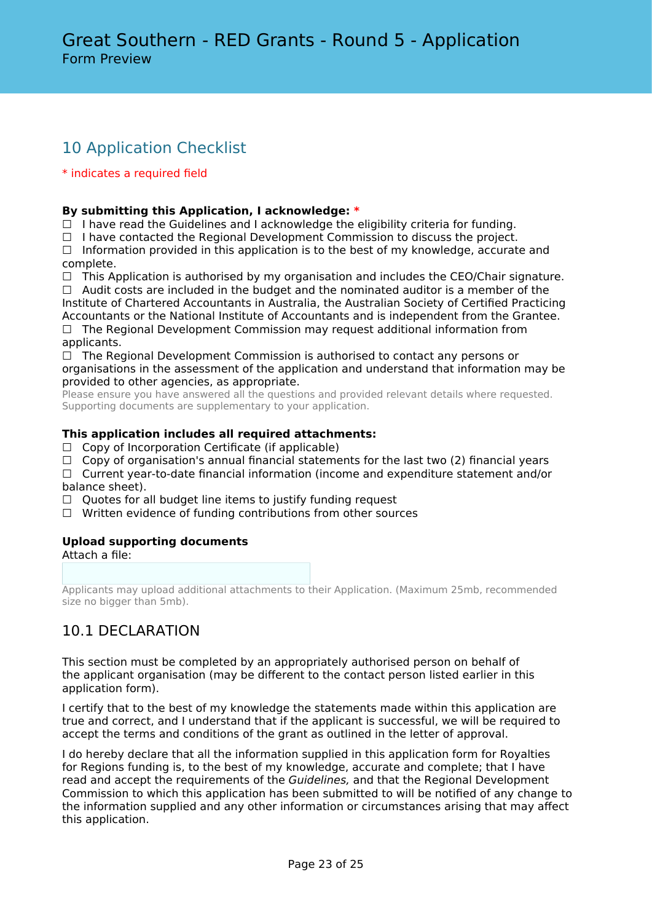# 10 Application Checklist

#### \* indicates a required field

#### **By submitting this Application, I acknowledge: \***

 $\Box$  I have read the Guidelines and I acknowledge the eligibility criteria for funding.

☐ I have contacted the Regional Development Commission to discuss the project.

 $\Box$  Information provided in this application is to the best of my knowledge, accurate and complete.

☐ This Application is authorised by my organisation and includes the CEO/Chair signature.

 $\Box$  Audit costs are included in the budget and the nominated auditor is a member of the Institute of Chartered Accountants in Australia, the Australian Society of Certified Practicing Accountants or the National Institute of Accountants and is independent from the Grantee.

□ The Regional Development Commission may request additional information from applicants.

 $\Box$  The Regional Development Commission is authorised to contact any persons or organisations in the assessment of the application and understand that information may be provided to other agencies, as appropriate.

Please ensure you have answered all the questions and provided relevant details where requested. Supporting documents are supplementary to your application.

#### **This application includes all required attachments:**

- $\Box$  Copy of Incorporation Certificate (if applicable)
- □ Copy of organisation's annual financial statements for the last two (2) financial years
- $\Box$  Current year-to-date financial information (income and expenditure statement and/or balance sheet).
- $\Box$  Quotes for all budget line items to justify funding request
- ☐ Written evidence of funding contributions from other sources

#### **Upload supporting documents**

Attach a file:

Applicants may upload additional attachments to their Application. (Maximum 25mb, recommended size no bigger than 5mb).

# 10.1 DECLARATION

This section must be completed by an appropriately authorised person on behalf of the applicant organisation (may be different to the contact person listed earlier in this application form).

I certify that to the best of my knowledge the statements made within this application are true and correct, and I understand that if the applicant is successful, we will be required to accept the terms and conditions of the grant as outlined in the letter of approval.

I do hereby declare that all the information supplied in this application form for Royalties for Regions funding is, to the best of my knowledge, accurate and complete; that I have read and accept the requirements of the *Guidelines,* and that the Regional Development Commission to which this application has been submitted to will be notified of any change to the information supplied and any other information or circumstances arising that may affect this application.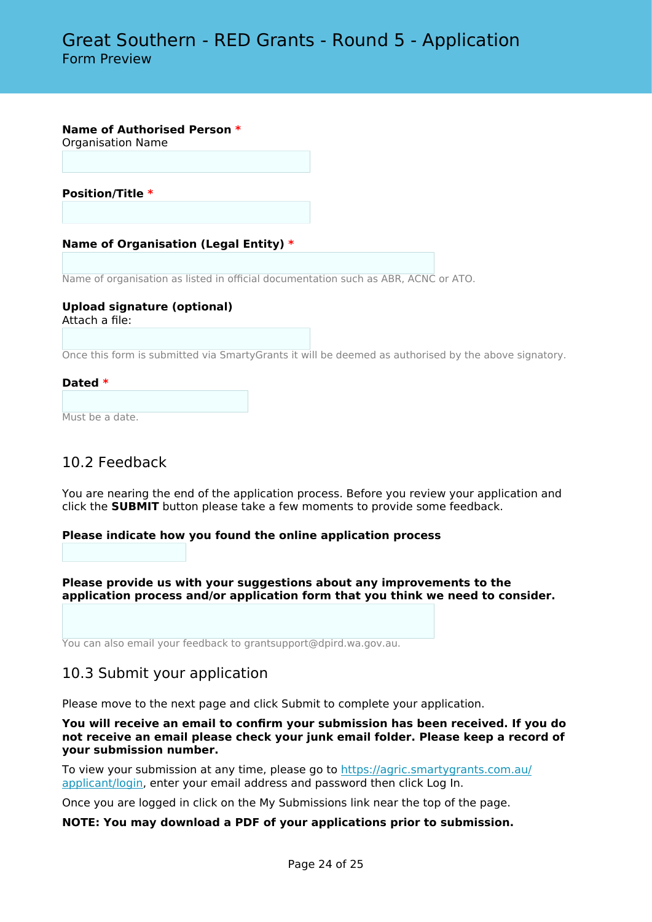**Name of Authorised Person \***

Organisation Name

**Position/Title \***

#### **Name of Organisation (Legal Entity) \***

Name of organisation as listed in official documentation such as ABR, ACNC or ATO.

#### **Upload signature (optional)** Attach a file:

Once this form is submitted via SmartyGrants it will be deemed as authorised by the above signatory.

#### **Dated \***

Must be a date.

### 10.2 Feedback

You are nearing the end of the application process. Before you review your application and click the **SUBMIT** button please take a few moments to provide some feedback.

#### **Please indicate how you found the online application process**

**Please provide us with your suggestions about any improvements to the application process and/or application form that you think we need to consider.**

You can also email your feedback to grantsupport@dpird.wa.gov.au.

### 10.3 Submit your application

Please move to the next page and click Submit to complete your application.

**You will receive an email to confirm your submission has been received. If you do not receive an email please check your junk email folder. Please keep a record of your submission number.**

To view your submission at any time, please go to [https://agric.smartygrants.com.au/](https://agric.smartygrants.com.au/applicant/login) [applicant/login,](https://agric.smartygrants.com.au/applicant/login) enter your email address and password then click Log In.

Once you are logged in click on the My Submissions link near the top of the page.

#### **NOTE: You may download a PDF of your applications prior to submission.**